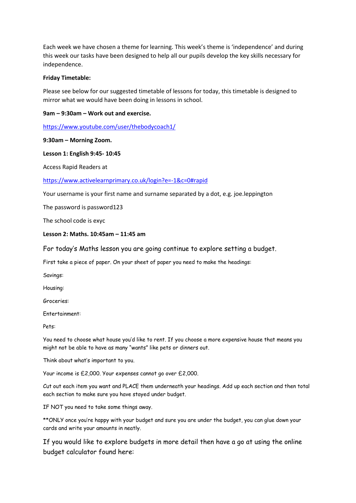Each week we have chosen a theme for learning. This week's theme is 'independence' and during this week our tasks have been designed to help all our pupils develop the key skills necessary for independence.

### **Friday Timetable:**

Please see below for our suggested timetable of lessons for today, this timetable is designed to mirror what we would have been doing in lessons in school.

### **9am – 9:30am – Work out and exercise.**

<https://www.youtube.com/user/thebodycoach1/>

### **9:30am – Morning Zoom.**

### **Lesson 1: English 9:45- 10:45**

Access Rapid Readers at

### <https://www.activelearnprimary.co.uk/login?e=-1&c=0#rapid>

Your username is your first name and surname separated by a dot, e.g. joe.leppington

The password is password123

The school code is exyc

### **Lesson 2: Maths. 10:45am – 11:45 am**

# For today's Maths lesson you are going continue to explore setting a budget.

First take a piece of paper. On your sheet of paper you need to make the headings:

Savings:

Housing:

Groceries:

Entertainment:

Pets:

You need to choose what house you'd like to rent. If you choose a more expensive house that means you might not be able to have as many "wants" like pets or dinners out.

Think about what's important to you.

Your income is £2,000. Your expenses cannot go over £2,000.

Cut out each item you want and PLACE them underneath your headings. Add up each section and then total each section to make sure you have stayed under budget.

IF NOT you need to take some things away.

\*\*ONLY once you're happy with your budget and sure you are under the budget, you can glue down your cards and write your amounts in neatly.

If you would like to explore budgets in more detail then have a go at using the online budget calculator found here: